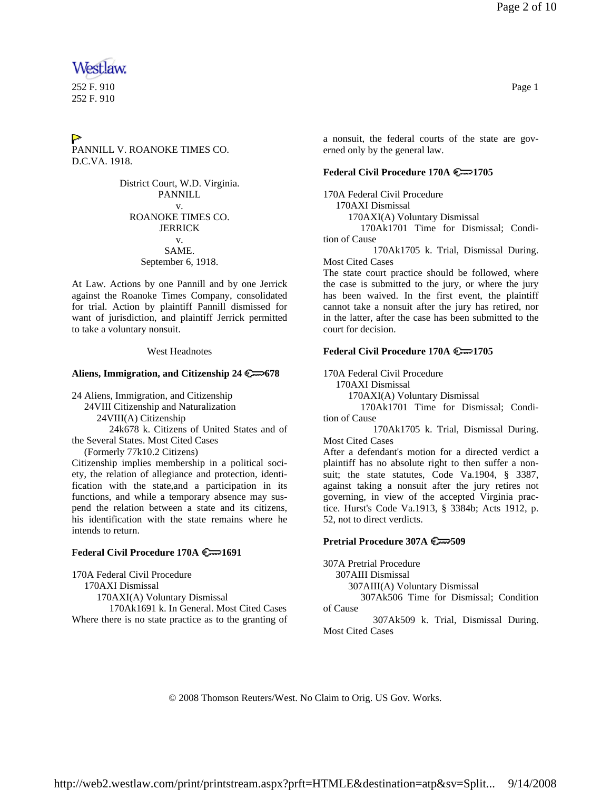# Westlaw

252 F. 910 Page 1 252 F. 910

# $\geq$ PANNILL V. ROANOKE TIMES CO. D.C.VA. 1918.

District Court, W.D. Virginia. PANNILL v. ROANOKE TIMES CO. JERRICK v. SAME. September 6, 1918.

At Law. Actions by one Pannill and by one Jerrick against the Roanoke Times Company, consolidated for trial. Action by plaintiff Pannill dismissed for want of jurisdiction, and plaintiff Jerrick permitted to take a voluntary nonsuit.

West Headnotes

# **Aliens, Immigration, and Citizenship 24 678**

24 Aliens, Immigration, and Citizenship 24VIII Citizenship and Naturalization 24VIII(A) Citizenship 24k678 k. Citizens of United States and of the Several States. Most Cited Cases (Formerly 77k10.2 Citizens)

Citizenship implies membership in a political society, the relation of allegiance and protection, identification with the state,and a participation in its functions, and while a temporary absence may suspend the relation between a state and its citizens, his identification with the state remains where he intends to return.

# **Federal Civil Procedure 170A 1691**

170A Federal Civil Procedure 170AXI Dismissal 170AXI(A) Voluntary Dismissal 170Ak1691 k. In General. Most Cited Cases Where there is no state practice as to the granting of a nonsuit, the federal courts of the state are gov-

# **Federal Civil Procedure 170A 1705**

erned only by the general law.

170A Federal Civil Procedure 170AXI Dismissal 170AXI(A) Voluntary Dismissal 170Ak1701 Time for Dismissal; Condition of Cause

 170Ak1705 k. Trial, Dismissal During. Most Cited Cases

The state court practice should be followed, where the case is submitted to the jury, or where the jury has been waived. In the first event, the plaintiff cannot take a nonsuit after the jury has retired, nor in the latter, after the case has been submitted to the court for decision.

# **Federal Civil Procedure 170A 1705**

170A Federal Civil Procedure

170AXI Dismissal

170AXI(A) Voluntary Dismissal

 170Ak1701 Time for Dismissal; Condition of Cause

 170Ak1705 k. Trial, Dismissal During. Most Cited Cases

After a defendant's motion for a directed verdict a plaintiff has no absolute right to then suffer a nonsuit; the state statutes, Code Va.1904, § 3387, against taking a nonsuit after the jury retires not governing, in view of the accepted Virginia practice. Hurst's Code Va.1913, § 3384b; Acts 1912, p. 52, not to direct verdicts.

## **Pretrial Procedure 307A 509**

307A Pretrial Procedure 307AIII Dismissal 307AIII(A) Voluntary Dismissal 307Ak506 Time for Dismissal; Condition of Cause

 307Ak509 k. Trial, Dismissal During. Most Cited Cases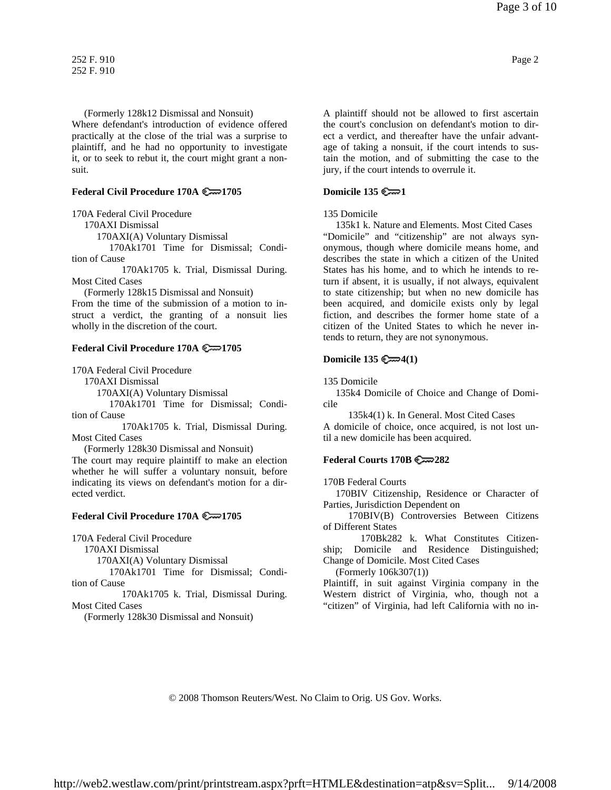(Formerly 128k12 Dismissal and Nonsuit) Where defendant's introduction of evidence offered practically at the close of the trial was a surprise to plaintiff, and he had no opportunity to investigate it, or to seek to rebut it, the court might grant a nonsuit.

## **Federal Civil Procedure 170A 1705**

170A Federal Civil Procedure

170AXI Dismissal

170AXI(A) Voluntary Dismissal

 170Ak1701 Time for Dismissal; Condition of Cause

 170Ak1705 k. Trial, Dismissal During. Most Cited Cases

(Formerly 128k15 Dismissal and Nonsuit)

From the time of the submission of a motion to instruct a verdict, the granting of a nonsuit lies wholly in the discretion of the court.

## **Federal Civil Procedure 170A 1705**

170A Federal Civil Procedure

170AXI Dismissal

170AXI(A) Voluntary Dismissal

 170Ak1701 Time for Dismissal; Condition of Cause

 170Ak1705 k. Trial, Dismissal During. Most Cited Cases

(Formerly 128k30 Dismissal and Nonsuit)

The court may require plaintiff to make an election whether he will suffer a voluntary nonsuit, before indicating its views on defendant's motion for a directed verdict.

#### **Federal Civil Procedure 170A 1705**

170A Federal Civil Procedure

170AXI Dismissal

170AXI(A) Voluntary Dismissal

 170Ak1701 Time for Dismissal; Condition of Cause

 170Ak1705 k. Trial, Dismissal During. Most Cited Cases

(Formerly 128k30 Dismissal and Nonsuit)

A plaintiff should not be allowed to first ascertain the court's conclusion on defendant's motion to direct a verdict, and thereafter have the unfair advantage of taking a nonsuit, if the court intends to sustain the motion, and of submitting the case to the jury, if the court intends to overrule it.

# **Domicile 135 1**

#### 135 Domicile

 135k1 k. Nature and Elements. Most Cited Cases "Domicile" and "citizenship" are not always synonymous, though where domicile means home, and describes the state in which a citizen of the United States has his home, and to which he intends to return if absent, it is usually, if not always, equivalent to state citizenship; but when no new domicile has been acquired, and domicile exists only by legal fiction, and describes the former home state of a citizen of the United States to which he never intends to return, they are not synonymous.

## **Domicile 135 4(1)**

135 Domicile

 135k4 Domicile of Choice and Change of Domicile

135k4(1) k. In General. Most Cited Cases

A domicile of choice, once acquired, is not lost until a new domicile has been acquired.

## **Federal Courts 170B 282**

170B Federal Courts

 170BIV Citizenship, Residence or Character of Parties, Jurisdiction Dependent on

 170BIV(B) Controversies Between Citizens of Different States

 170Bk282 k. What Constitutes Citizenship; Domicile and Residence Distinguished; Change of Domicile. Most Cited Cases

(Formerly 106k307(1))

Plaintiff, in suit against Virginia company in the Western district of Virginia, who, though not a "citizen" of Virginia, had left California with no in-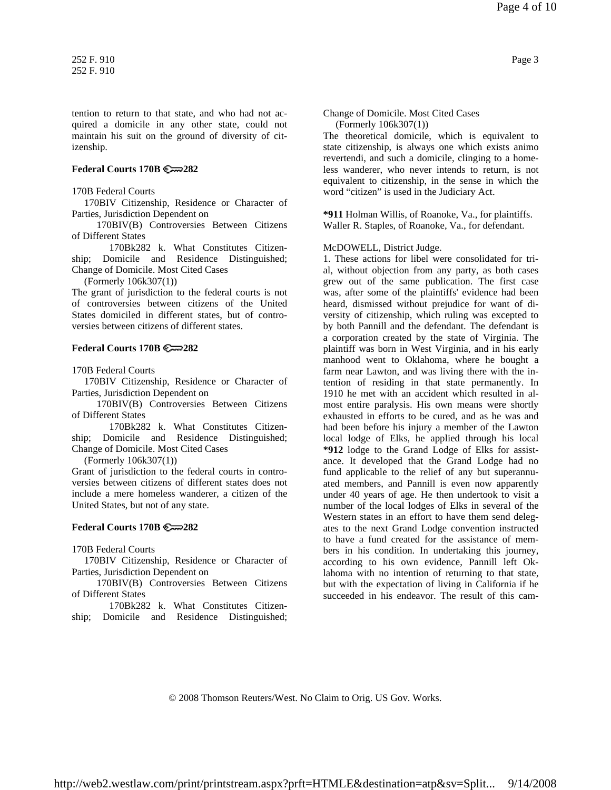tention to return to that state, and who had not acquired a domicile in any other state, could not maintain his suit on the ground of diversity of citizenship.

## **Federal Courts 170B 282**

170B Federal Courts

 170BIV Citizenship, Residence or Character of Parties, Jurisdiction Dependent on

 170BIV(B) Controversies Between Citizens of Different States

 170Bk282 k. What Constitutes Citizenship; Domicile and Residence Distinguished; Change of Domicile. Most Cited Cases

(Formerly 106k307(1))

The grant of jurisdiction to the federal courts is not of controversies between citizens of the United States domiciled in different states, but of controversies between citizens of different states.

## **Federal Courts 170B 282**

170B Federal Courts

 170BIV Citizenship, Residence or Character of Parties, Jurisdiction Dependent on

 170BIV(B) Controversies Between Citizens of Different States

 170Bk282 k. What Constitutes Citizenship; Domicile and Residence Distinguished; Change of Domicile. Most Cited Cases

(Formerly 106k307(1))

Grant of jurisdiction to the federal courts in controversies between citizens of different states does not include a mere homeless wanderer, a citizen of the United States, but not of any state.

## **Federal Courts 170B 282**

170B Federal Courts

 170BIV Citizenship, Residence or Character of Parties, Jurisdiction Dependent on

 170BIV(B) Controversies Between Citizens of Different States

 170Bk282 k. What Constitutes Citizenship; Domicile and Residence Distinguished;

Change of Domicile. Most Cited Cases (Formerly 106k307(1))

The theoretical domicile, which is equivalent to state citizenship, is always one which exists animo revertendi, and such a domicile, clinging to a homeless wanderer, who never intends to return, is not equivalent to citizenship, in the sense in which the word "citizen" is used in the Judiciary Act.

**\*911** Holman Willis, of Roanoke, Va., for plaintiffs. Waller R. Staples, of Roanoke, Va., for defendant.

McDOWELL, District Judge.

1. These actions for libel were consolidated for trial, without objection from any party, as both cases grew out of the same publication. The first case was, after some of the plaintiffs' evidence had been heard, dismissed without prejudice for want of diversity of citizenship, which ruling was excepted to by both Pannill and the defendant. The defendant is a corporation created by the state of Virginia. The plaintiff was born in West Virginia, and in his early manhood went to Oklahoma, where he bought a farm near Lawton, and was living there with the intention of residing in that state permanently. In 1910 he met with an accident which resulted in almost entire paralysis. His own means were shortly exhausted in efforts to be cured, and as he was and had been before his injury a member of the Lawton local lodge of Elks, he applied through his local **\*912** lodge to the Grand Lodge of Elks for assistance. It developed that the Grand Lodge had no fund applicable to the relief of any but superannuated members, and Pannill is even now apparently under 40 years of age. He then undertook to visit a number of the local lodges of Elks in several of the Western states in an effort to have them send delegates to the next Grand Lodge convention instructed to have a fund created for the assistance of members in his condition. In undertaking this journey, according to his own evidence, Pannill left Oklahoma with no intention of returning to that state, but with the expectation of living in California if he succeeded in his endeavor. The result of this cam-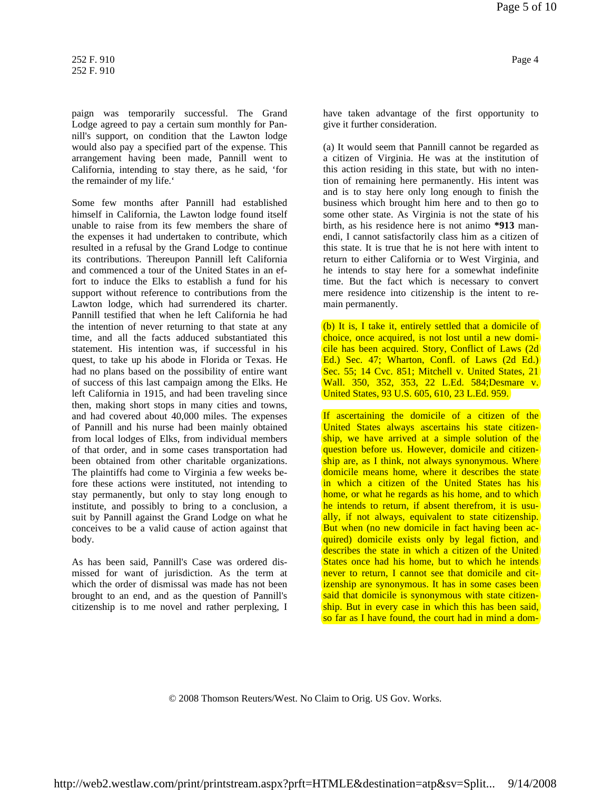paign was temporarily successful. The Grand Lodge agreed to pay a certain sum monthly for Pannill's support, on condition that the Lawton lodge would also pay a specified part of the expense. This arrangement having been made, Pannill went to California, intending to stay there, as he said, 'for the remainder of my life.'

Some few months after Pannill had established himself in California, the Lawton lodge found itself unable to raise from its few members the share of the expenses it had undertaken to contribute, which resulted in a refusal by the Grand Lodge to continue its contributions. Thereupon Pannill left California and commenced a tour of the United States in an effort to induce the Elks to establish a fund for his support without reference to contributions from the Lawton lodge, which had surrendered its charter. Pannill testified that when he left California he had the intention of never returning to that state at any time, and all the facts adduced substantiated this statement. His intention was, if successful in his quest, to take up his abode in Florida or Texas. He had no plans based on the possibility of entire want of success of this last campaign among the Elks. He left California in 1915, and had been traveling since then, making short stops in many cities and towns, and had covered about 40,000 miles. The expenses of Pannill and his nurse had been mainly obtained from local lodges of Elks, from individual members of that order, and in some cases transportation had been obtained from other charitable organizations. The plaintiffs had come to Virginia a few weeks before these actions were instituted, not intending to stay permanently, but only to stay long enough to institute, and possibly to bring to a conclusion, a suit by Pannill against the Grand Lodge on what he conceives to be a valid cause of action against that body.

As has been said, Pannill's Case was ordered dismissed for want of jurisdiction. As the term at which the order of dismissal was made has not been brought to an end, and as the question of Pannill's citizenship is to me novel and rather perplexing, I have taken advantage of the first opportunity to give it further consideration.

(a) It would seem that Pannill cannot be regarded as a citizen of Virginia. He was at the institution of this action residing in this state, but with no intention of remaining here permanently. His intent was and is to stay here only long enough to finish the business which brought him here and to then go to some other state. As Virginia is not the state of his birth, as his residence here is not animo **\*913** manendi, I cannot satisfactorily class him as a citizen of this state. It is true that he is not here with intent to return to either California or to West Virginia, and he intends to stay here for a somewhat indefinite time. But the fact which is necessary to convert mere residence into citizenship is the intent to remain permanently.

(b) It is, I take it, entirely settled that a domicile of choice, once acquired, is not lost until a new domicile has been acquired. Story, Conflict of Laws (2d Ed.) Sec. 47; Wharton, Confl. of Laws (2d Ed.) Sec. 55; 14 Cvc. 851; Mitchell v. United States, 21 Wall. 350, 352, 353, 22 L.Ed. 584;Desmare v. United States, 93 U.S. 605, 610, 23 L.Ed. 959.

If ascertaining the domicile of a citizen of the United States always ascertains his state citizenship, we have arrived at a simple solution of the question before us. However, domicile and citizenship are, as I think, not always synonymous. Where domicile means home, where it describes the state in which a citizen of the United States has his home, or what he regards as his home, and to which he intends to return, if absent therefrom, it is usually, if not always, equivalent to state citizenship. But when (no new domicile in fact having been acquired) domicile exists only by legal fiction, and describes the state in which a citizen of the United States once had his home, but to which he intends never to return, I cannot see that domicile and citizenship are synonymous. It has in some cases been said that domicile is synonymous with state citizenship. But in every case in which this has been said, so far as I have found, the court had in mind a dom-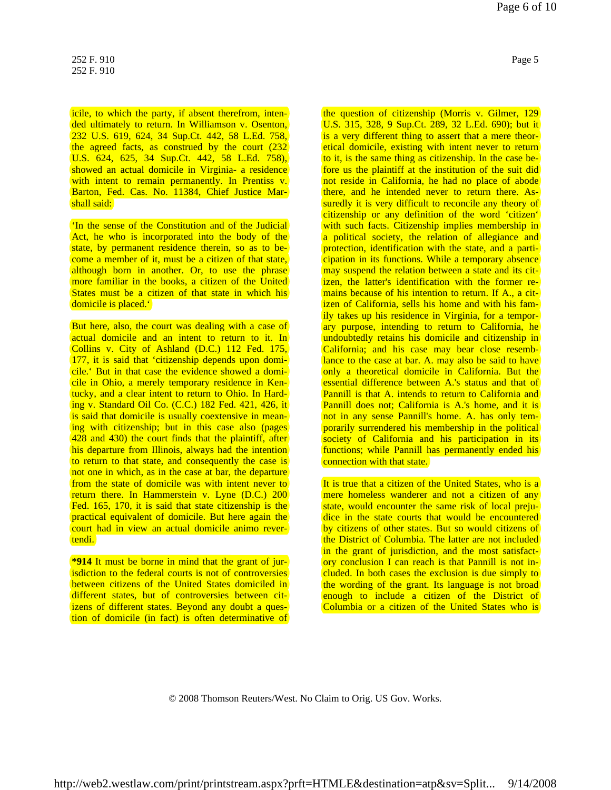icile, to which the party, if absent therefrom, intended ultimately to return. In Williamson v. Osenton, 232 U.S. 619, 624, 34 Sup.Ct. 442, 58 L.Ed. 758, the agreed facts, as construed by the court (232) U.S. 624, 625, 34 Sup.Ct. 442, 58 L.Ed. 758), showed an actual domicile in Virginia- a residence with intent to remain permanently. In Prentiss v. Barton, Fed. Cas. No. 11384, Chief Justice Marshall said:

'In the sense of the Constitution and of the Judicial Act, he who is incorporated into the body of the state, by permanent residence therein, so as to become a member of it, must be a citizen of that state, although born in another. Or, to use the phrase more familiar in the books, a citizen of the United States must be a citizen of that state in which his domicile is placed.'

But here, also, the court was dealing with a case of actual domicile and an intent to return to it. In Collins v. City of Ashland (D.C.) 112 Fed. 175, 177, it is said that 'citizenship depends upon domicile.' But in that case the evidence showed a domicile in Ohio, a merely temporary residence in Kentucky, and a clear intent to return to Ohio. In Harding v. Standard Oil Co. (C.C.) 182 Fed. 421, 426, it is said that domicile is usually coextensive in meaning with citizenship; but in this case also (pages 428 and 430) the court finds that the plaintiff, after his departure from Illinois, always had the intention to return to that state, and consequently the case is not one in which, as in the case at bar, the departure from the state of domicile was with intent never to return there. In Hammerstein v. Lyne (D.C.) 200 Fed. 165, 170, it is said that state citizenship is the practical equivalent of domicile. But here again the court had in view an actual domicile animo revertendi.

**\*914** It must be borne in mind that the grant of jurisdiction to the federal courts is not of controversies between citizens of the United States domiciled in different states, but of controversies between citizens of different states. Beyond any doubt a question of domicile (in fact) is often determinative of the question of citizenship (Morris v. Gilmer, 129 U.S. 315, 328, 9 Sup.Ct. 289, 32 L.Ed. 690); but it is a very different thing to assert that a mere theoretical domicile, existing with intent never to return to it, is the same thing as citizenship. In the case before us the plaintiff at the institution of the suit did not reside in California, he had no place of abode there, and he intended never to return there. Assuredly it is very difficult to reconcile any theory of citizenship or any definition of the word 'citizen' with such facts. Citizenship implies membership in a political society, the relation of allegiance and protection, identification with the state, and a participation in its functions. While a temporary absence may suspend the relation between a state and its citizen, the latter's identification with the former remains because of his intention to return. If A., a citizen of California, sells his home and with his family takes up his residence in Virginia, for a temporary purpose, intending to return to California, he undoubtedly retains his domicile and citizenship in California; and his case may bear close resemblance to the case at bar. A. may also be said to have only a theoretical domicile in California. But the essential difference between A.'s status and that of Pannill is that A. intends to return to California and Pannill does not; California is A.'s home, and it is not in any sense Pannill's home. A. has only temporarily surrendered his membership in the political

It is true that a citizen of the United States, who is a mere homeless wanderer and not a citizen of any state, would encounter the same risk of local prejudice in the state courts that would be encountered by citizens of other states. But so would citizens of the District of Columbia. The latter are not included in the grant of jurisdiction, and the most satisfactory conclusion I can reach is that Pannill is not included. In both cases the exclusion is due simply to the wording of the grant. Its language is not broad enough to include a citizen of the District of Columbia or a citizen of the United States who is

society of California and his participation in its functions; while Pannill has permanently ended his

connection with that state.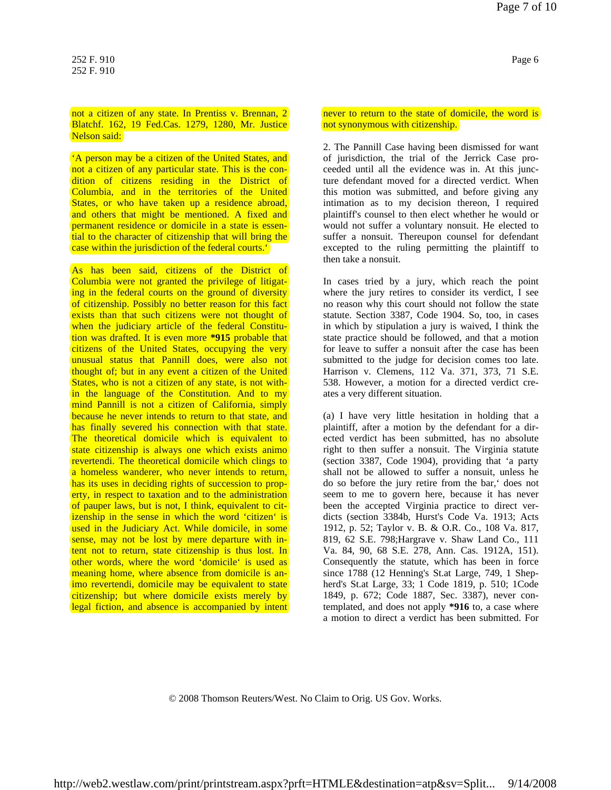## not a citizen of any state. In Prentiss v. Brennan, 2 Blatchf. 162, 19 Fed.Cas. 1279, 1280, Mr. Justice Nelson said:

'A person may be a citizen of the United States, and not a citizen of any particular state. This is the condition of citizens residing in the District of Columbia, and in the territories of the United States, or who have taken up a residence abroad, and others that might be mentioned. A fixed and permanent residence or domicile in a state is essential to the character of citizenship that will bring the case within the jurisdiction of the federal courts.'

As has been said, citizens of the District of Columbia were not granted the privilege of litigating in the federal courts on the ground of diversity of citizenship. Possibly no better reason for this fact exists than that such citizens were not thought of when the judiciary article of the federal Constitution was drafted. It is even more **\*915** probable that citizens of the United States, occupying the very unusual status that Pannill does, were also not thought of; but in any event a citizen of the United States, who is not a citizen of any state, is not within the language of the Constitution. And to my mind Pannill is not a citizen of California, simply because he never intends to return to that state, and has finally severed his connection with that state. The theoretical domicile which is equivalent to state citizenship is always one which exists animo revertendi. The theoretical domicile which clings to a homeless wanderer, who never intends to return, has its uses in deciding rights of succession to property, in respect to taxation and to the administration of pauper laws, but is not, I think, equivalent to citizenship in the sense in which the word 'citizen' is used in the Judiciary Act. While domicile, in some sense, may not be lost by mere departure with intent not to return, state citizenship is thus lost. In other words, where the word 'domicile' is used as meaning home, where absence from domicile is animo revertendi, domicile may be equivalent to state citizenship; but where domicile exists merely by legal fiction, and absence is accompanied by intent never to return to the state of domicile, the word is not synonymous with citizenship.

2. The Pannill Case having been dismissed for want of jurisdiction, the trial of the Jerrick Case proceeded until all the evidence was in. At this juncture defendant moved for a directed verdict. When this motion was submitted, and before giving any intimation as to my decision thereon, I required plaintiff's counsel to then elect whether he would or would not suffer a voluntary nonsuit. He elected to suffer a nonsuit. Thereupon counsel for defendant excepted to the ruling permitting the plaintiff to then take a nonsuit.

In cases tried by a jury, which reach the point where the jury retires to consider its verdict, I see no reason why this court should not follow the state statute. Section 3387, Code 1904. So, too, in cases in which by stipulation a jury is waived, I think the state practice should be followed, and that a motion for leave to suffer a nonsuit after the case has been submitted to the judge for decision comes too late. Harrison v. Clemens, 112 Va. 371, 373, 71 S.E. 538. However, a motion for a directed verdict creates a very different situation.

(a) I have very little hesitation in holding that a plaintiff, after a motion by the defendant for a directed verdict has been submitted, has no absolute right to then suffer a nonsuit. The Virginia statute (section 3387, Code 1904), providing that 'a party shall not be allowed to suffer a nonsuit, unless he do so before the jury retire from the bar,' does not seem to me to govern here, because it has never been the accepted Virginia practice to direct verdicts (section 3384b, Hurst's Code Va. 1913; Acts 1912, p. 52; Taylor v. B. & O.R. Co., 108 Va. 817, 819, 62 S.E. 798;Hargrave v. Shaw Land Co., 111 Va. 84, 90, 68 S.E. 278, Ann. Cas. 1912A, 151). Consequently the statute, which has been in force since 1788 (12 Henning's St.at Large, 749, 1 Shepherd's St.at Large, 33; 1 Code 1819, p. 510; 1Code 1849, p. 672; Code 1887, Sec. 3387), never contemplated, and does not apply **\*916** to, a case where a motion to direct a verdict has been submitted. For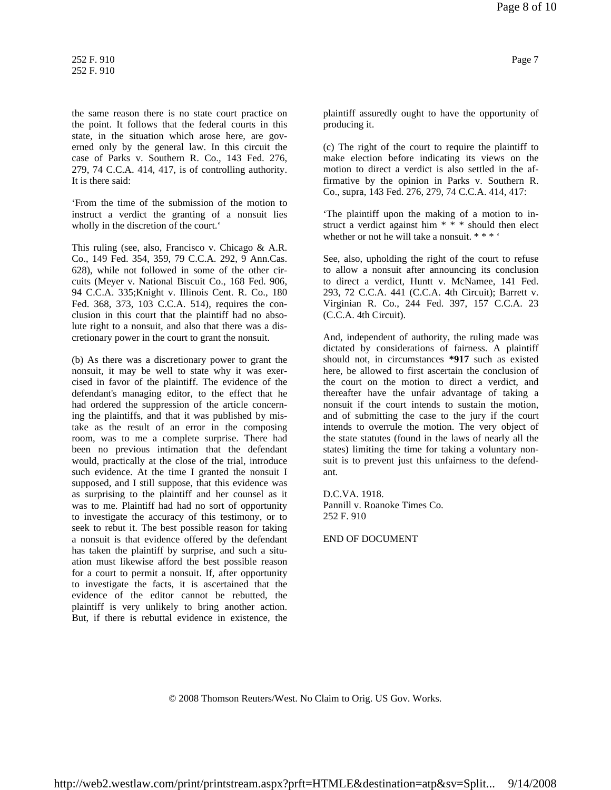the same reason there is no state court practice on the point. It follows that the federal courts in this state, in the situation which arose here, are governed only by the general law. In this circuit the case of Parks v. Southern R. Co., 143 Fed. 276, 279, 74 C.C.A. 414, 417, is of controlling authority. It is there said:

'From the time of the submission of the motion to instruct a verdict the granting of a nonsuit lies wholly in the discretion of the court.'

This ruling (see, also, Francisco v. Chicago & A.R. Co., 149 Fed. 354, 359, 79 C.C.A. 292, 9 Ann.Cas. 628), while not followed in some of the other circuits (Meyer v. National Biscuit Co., 168 Fed. 906, 94 C.C.A. 335;Knight v. Illinois Cent. R. Co., 180 Fed. 368, 373, 103 C.C.A. 514), requires the conclusion in this court that the plaintiff had no absolute right to a nonsuit, and also that there was a discretionary power in the court to grant the nonsuit.

(b) As there was a discretionary power to grant the nonsuit, it may be well to state why it was exercised in favor of the plaintiff. The evidence of the defendant's managing editor, to the effect that he had ordered the suppression of the article concerning the plaintiffs, and that it was published by mistake as the result of an error in the composing room, was to me a complete surprise. There had been no previous intimation that the defendant would, practically at the close of the trial, introduce such evidence. At the time I granted the nonsuit I supposed, and I still suppose, that this evidence was as surprising to the plaintiff and her counsel as it was to me. Plaintiff had had no sort of opportunity to investigate the accuracy of this testimony, or to seek to rebut it. The best possible reason for taking a nonsuit is that evidence offered by the defendant has taken the plaintiff by surprise, and such a situation must likewise afford the best possible reason for a court to permit a nonsuit. If, after opportunity to investigate the facts, it is ascertained that the evidence of the editor cannot be rebutted, the plaintiff is very unlikely to bring another action. But, if there is rebuttal evidence in existence, the

plaintiff assuredly ought to have the opportunity of producing it.

(c) The right of the court to require the plaintiff to make election before indicating its views on the motion to direct a verdict is also settled in the affirmative by the opinion in Parks v. Southern R. Co., supra, 143 Fed. 276, 279, 74 C.C.A. 414, 417:

'The plaintiff upon the making of a motion to instruct a verdict against him \* \* \* should then elect whether or not he will take a nonsuit. \* \* \* '

See, also, upholding the right of the court to refuse to allow a nonsuit after announcing its conclusion to direct a verdict, Huntt v. McNamee, 141 Fed. 293, 72 C.C.A. 441 (C.C.A. 4th Circuit); Barrett v. Virginian R. Co., 244 Fed. 397, 157 C.C.A. 23 (C.C.A. 4th Circuit).

And, independent of authority, the ruling made was dictated by considerations of fairness. A plaintiff should not, in circumstances **\*917** such as existed here, be allowed to first ascertain the conclusion of the court on the motion to direct a verdict, and thereafter have the unfair advantage of taking a nonsuit if the court intends to sustain the motion, and of submitting the case to the jury if the court intends to overrule the motion. The very object of the state statutes (found in the laws of nearly all the states) limiting the time for taking a voluntary nonsuit is to prevent just this unfairness to the defendant.

D.C.VA. 1918. Pannill v. Roanoke Times Co. 252 F. 910

END OF DOCUMENT